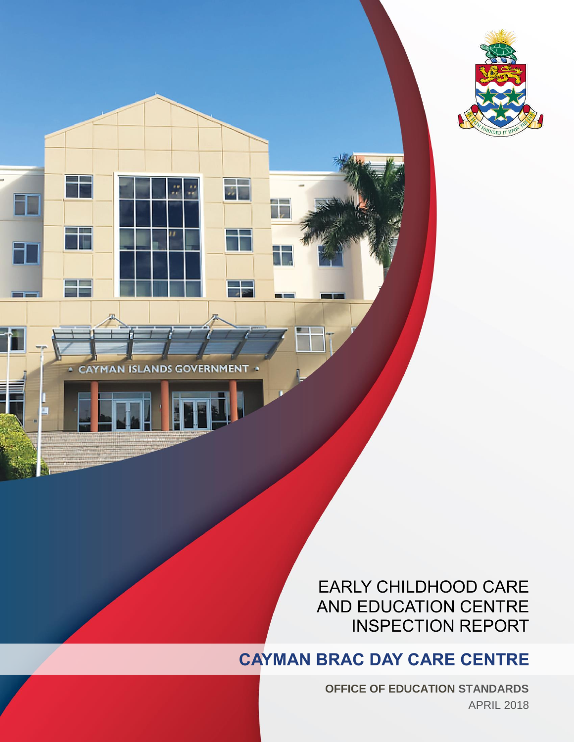

**ISLANDS ERNMENT** CAYMAN GO'

u

国国

EARLY CHILDHOOD CARE AND EDUCATION CENTRE INSPECTION REPORT

# **CAYMAN BRAC DAY CARE CENTRE**

**OFFICE OF EDUCATION STANDARDS** APRIL 2018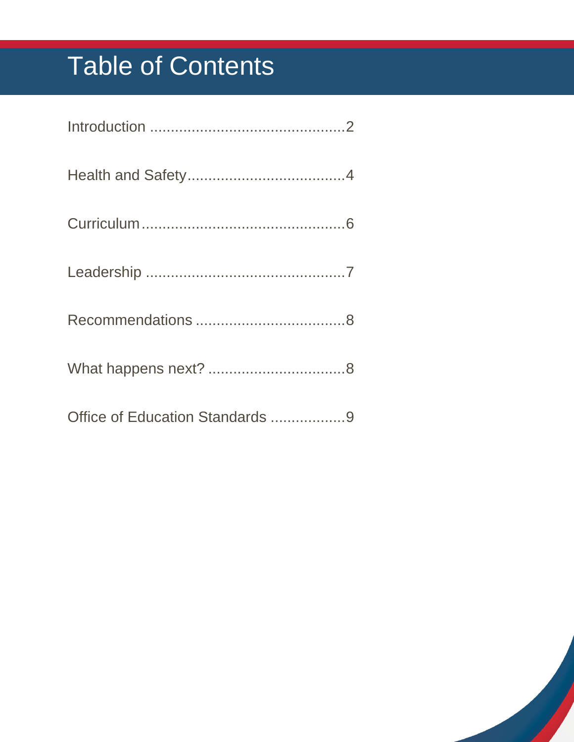# Table of Contents

| Office of Education Standards 9 |  |
|---------------------------------|--|

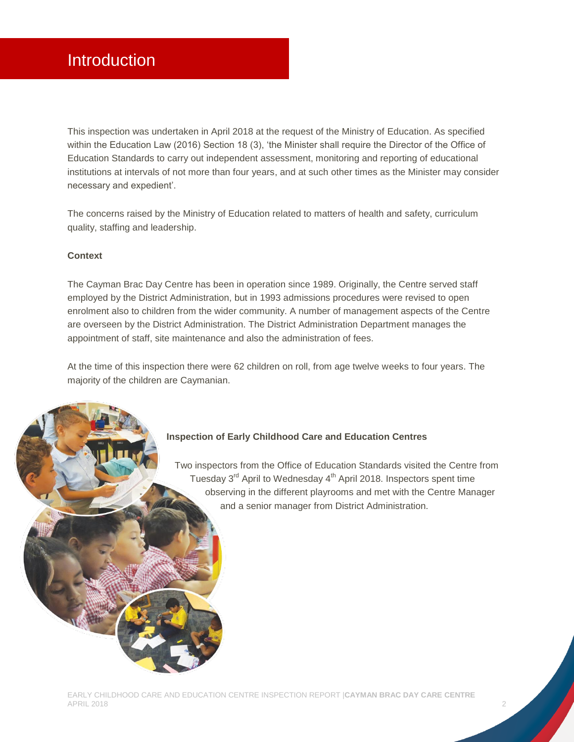# <span id="page-2-0"></span>Introduction

This inspection was undertaken in April 2018 at the request of the Ministry of Education. As specified within the Education Law (2016) Section 18 (3), 'the Minister shall require the Director of the Office of Education Standards to carry out independent assessment, monitoring and reporting of educational institutions at intervals of not more than four years, and at such other times as the Minister may consider necessary and expedient'.

The concerns raised by the Ministry of Education related to matters of health and safety, curriculum quality, staffing and leadership.

#### **Context**

The Cayman Brac Day Centre has been in operation since 1989. Originally, the Centre served staff employed by the District Administration, but in 1993 admissions procedures were revised to open enrolment also to children from the wider community. A number of management aspects of the Centre are overseen by the District Administration. The District Administration Department manages the appointment of staff, site maintenance and also the administration of fees.

At the time of this inspection there were 62 children on roll, from age twelve weeks to four years. The majority of the children are Caymanian.

#### **Inspection of Early Childhood Care and Education Centres**

Two inspectors from the Office of Education Standards visited the Centre from Tuesday  $3<sup>rd</sup>$  April to Wednesday  $4<sup>th</sup>$  April 2018. Inspectors spent time observing in the different playrooms and met with the Centre Manager and a senior manager from District Administration.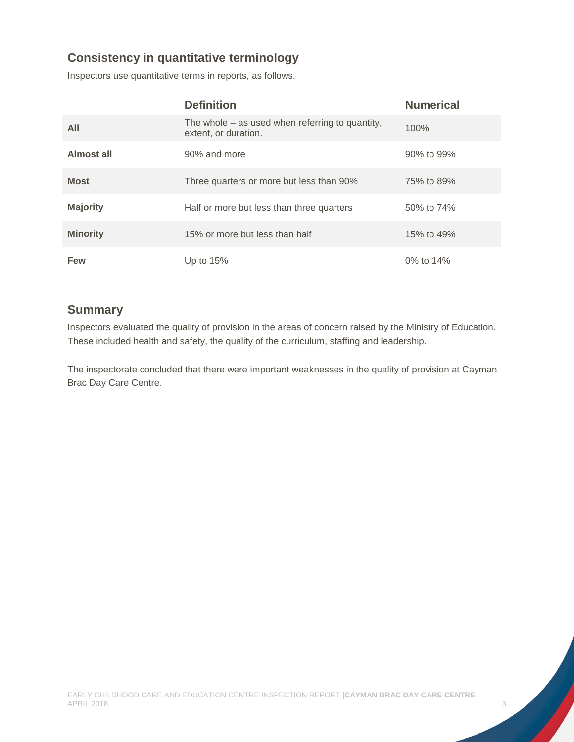### **Consistency in quantitative terminology**

Inspectors use quantitative terms in reports, as follows.

|                 | <b>Definition</b>                                                         | <b>Numerical</b> |
|-----------------|---------------------------------------------------------------------------|------------------|
| All             | The whole $-$ as used when referring to quantity,<br>extent, or duration. | 100%             |
| Almost all      | 90% and more                                                              | 90% to 99%       |
| <b>Most</b>     | Three quarters or more but less than 90%                                  | 75% to 89%       |
| <b>Majority</b> | Half or more but less than three quarters                                 | 50% to 74%       |
| <b>Minority</b> | 15% or more but less than half                                            | 15% to 49%       |
| <b>Few</b>      | Up to $15%$                                                               | 0% to 14%        |

### **Summary**

Inspectors evaluated the quality of provision in the areas of concern raised by the Ministry of Education. These included health and safety, the quality of the curriculum, staffing and leadership.

The inspectorate concluded that there were important weaknesses in the quality of provision at Cayman Brac Day Care Centre.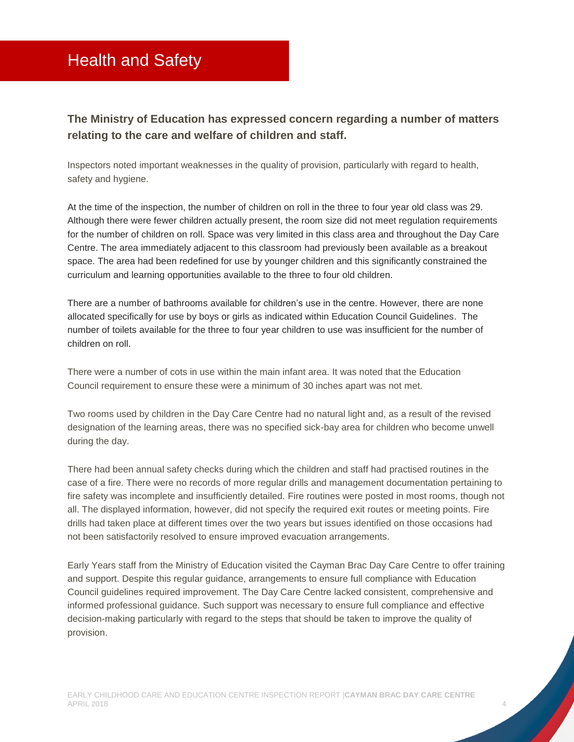# <span id="page-4-0"></span>Health and Safety

### **The Ministry of Education has expressed concern regarding a number of matters relating to the care and welfare of children and staff.**

Inspectors noted important weaknesses in the quality of provision, particularly with regard to health, safety and hygiene.

At the time of the inspection, the number of children on roll in the three to four year old class was 29. Although there were fewer children actually present, the room size did not meet regulation requirements for the number of children on roll. Space was very limited in this class area and throughout the Day Care Centre. The area immediately adjacent to this classroom had previously been available as a breakout space. The area had been redefined for use by younger children and this significantly constrained the curriculum and learning opportunities available to the three to four old children.

There are a number of bathrooms available for children's use in the centre. However, there are none allocated specifically for use by boys or girls as indicated within Education Council Guidelines. The number of toilets available for the three to four year children to use was insufficient for the number of children on roll.

There were a number of cots in use within the main infant area. It was noted that the Education Council requirement to ensure these were a minimum of 30 inches apart was not met.

Two rooms used by children in the Day Care Centre had no natural light and, as a result of the revised designation of the learning areas, there was no specified sick-bay area for children who become unwell during the day.

There had been annual safety checks during which the children and staff had practised routines in the case of a fire. There were no records of more regular drills and management documentation pertaining to fire safety was incomplete and insufficiently detailed. Fire routines were posted in most rooms, though not all. The displayed information, however, did not specify the required exit routes or meeting points. Fire drills had taken place at different times over the two years but issues identified on those occasions had not been satisfactorily resolved to ensure improved evacuation arrangements.

Early Years staff from the Ministry of Education visited the Cayman Brac Day Care Centre to offer training and support. Despite this regular guidance, arrangements to ensure full compliance with Education Council guidelines required improvement. The Day Care Centre lacked consistent, comprehensive and informed professional guidance. Such support was necessary to ensure full compliance and effective decision-making particularly with regard to the steps that should be taken to improve the quality of provision.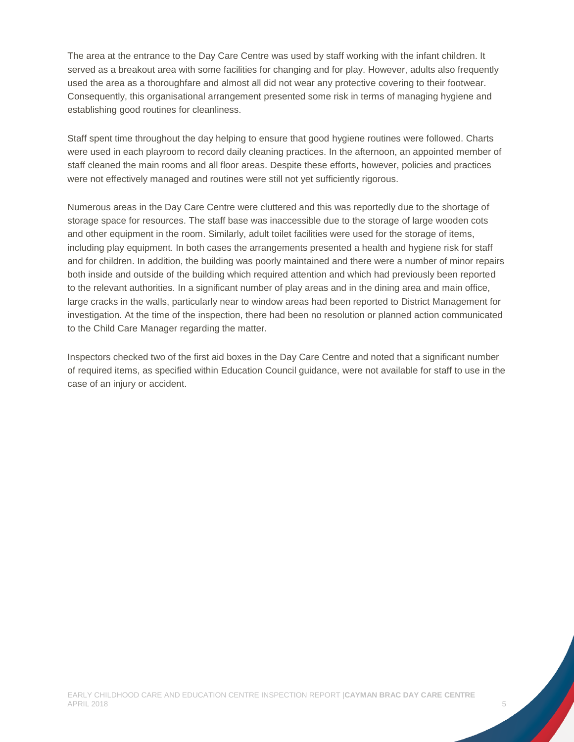The area at the entrance to the Day Care Centre was used by staff working with the infant children. It served as a breakout area with some facilities for changing and for play. However, adults also frequently used the area as a thoroughfare and almost all did not wear any protective covering to their footwear. Consequently, this organisational arrangement presented some risk in terms of managing hygiene and establishing good routines for cleanliness.

Staff spent time throughout the day helping to ensure that good hygiene routines were followed. Charts were used in each playroom to record daily cleaning practices. In the afternoon, an appointed member of staff cleaned the main rooms and all floor areas. Despite these efforts, however, policies and practices were not effectively managed and routines were still not yet sufficiently rigorous.

Numerous areas in the Day Care Centre were cluttered and this was reportedly due to the shortage of storage space for resources. The staff base was inaccessible due to the storage of large wooden cots and other equipment in the room. Similarly, adult toilet facilities were used for the storage of items, including play equipment. In both cases the arrangements presented a health and hygiene risk for staff and for children. In addition, the building was poorly maintained and there were a number of minor repairs both inside and outside of the building which required attention and which had previously been reported to the relevant authorities. In a significant number of play areas and in the dining area and main office, large cracks in the walls, particularly near to window areas had been reported to District Management for investigation. At the time of the inspection, there had been no resolution or planned action communicated to the Child Care Manager regarding the matter.

Inspectors checked two of the first aid boxes in the Day Care Centre and noted that a significant number of required items, as specified within Education Council guidance, were not available for staff to use in the case of an injury or accident.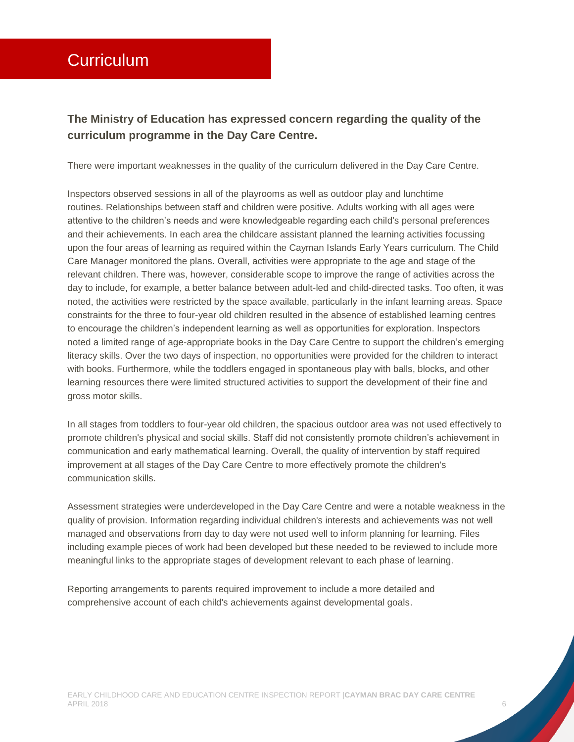# <span id="page-6-0"></span>**Curriculum**

### **The Ministry of Education has expressed concern regarding the quality of the curriculum programme in the Day Care Centre.**

There were important weaknesses in the quality of the curriculum delivered in the Day Care Centre.

Inspectors observed sessions in all of the playrooms as well as outdoor play and lunchtime routines. Relationships between staff and children were positive. Adults working with all ages were attentive to the children's needs and were knowledgeable regarding each child's personal preferences and their achievements. In each area the childcare assistant planned the learning activities focussing upon the four areas of learning as required within the Cayman Islands Early Years curriculum. The Child Care Manager monitored the plans. Overall, activities were appropriate to the age and stage of the relevant children. There was, however, considerable scope to improve the range of activities across the day to include, for example, a better balance between adult-led and child-directed tasks. Too often, it was noted, the activities were restricted by the space available, particularly in the infant learning areas. Space constraints for the three to four-year old children resulted in the absence of established learning centres to encourage the children's independent learning as well as opportunities for exploration. Inspectors noted a limited range of age-appropriate books in the Day Care Centre to support the children's emerging literacy skills. Over the two days of inspection, no opportunities were provided for the children to interact with books. Furthermore, while the toddlers engaged in spontaneous play with balls, blocks, and other learning resources there were limited structured activities to support the development of their fine and gross motor skills.

In all stages from toddlers to four-year old children, the spacious outdoor area was not used effectively to promote children's physical and social skills. Staff did not consistently promote children's achievement in communication and early mathematical learning. Overall, the quality of intervention by staff required improvement at all stages of the Day Care Centre to more effectively promote the children's communication skills.

Assessment strategies were underdeveloped in the Day Care Centre and were a notable weakness in the quality of provision. Information regarding individual children's interests and achievements was not well managed and observations from day to day were not used well to inform planning for learning. Files including example pieces of work had been developed but these needed to be reviewed to include more meaningful links to the appropriate stages of development relevant to each phase of learning.

Reporting arrangements to parents required improvement to include a more detailed and comprehensive account of each child's achievements against developmental goals.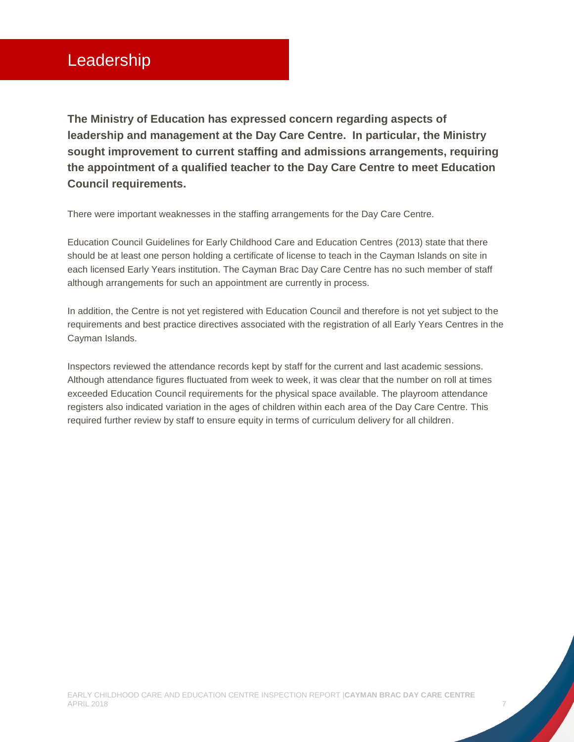<span id="page-7-0"></span>**The Ministry of Education has expressed concern regarding aspects of leadership and management at the Day Care Centre. In particular, the Ministry sought improvement to current staffing and admissions arrangements, requiring the appointment of a qualified teacher to the Day Care Centre to meet Education Council requirements.**

There were important weaknesses in the staffing arrangements for the Day Care Centre.

Education Council Guidelines for Early Childhood Care and Education Centres (2013) state that there should be at least one person holding a certificate of license to teach in the Cayman Islands on site in each licensed Early Years institution. The Cayman Brac Day Care Centre has no such member of staff although arrangements for such an appointment are currently in process.

In addition, the Centre is not yet registered with Education Council and therefore is not yet subject to the requirements and best practice directives associated with the registration of all Early Years Centres in the Cayman Islands.

Inspectors reviewed the attendance records kept by staff for the current and last academic sessions. Although attendance figures fluctuated from week to week, it was clear that the number on roll at times exceeded Education Council requirements for the physical space available. The playroom attendance registers also indicated variation in the ages of children within each area of the Day Care Centre. This required further review by staff to ensure equity in terms of curriculum delivery for all children.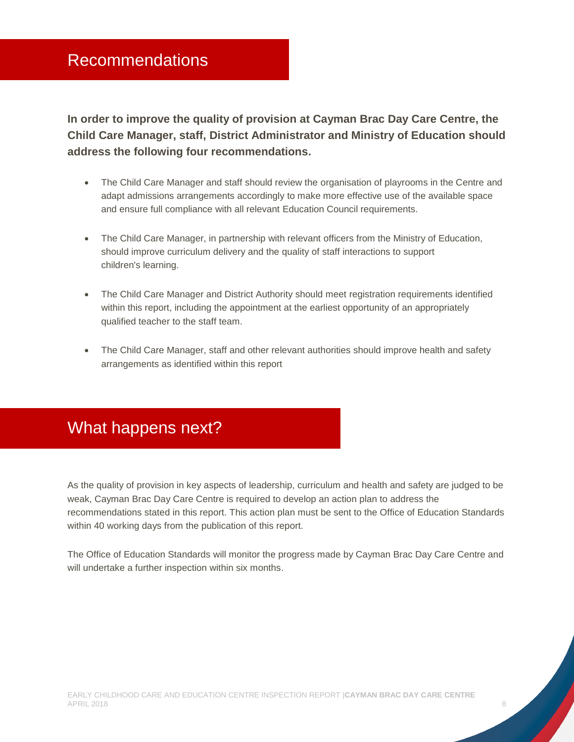## <span id="page-8-0"></span>Recommendations

**In order to improve the quality of provision at Cayman Brac Day Care Centre, the Child Care Manager, staff, District Administrator and Ministry of Education should address the following four recommendations.**

- The Child Care Manager and staff should review the organisation of playrooms in the Centre and adapt admissions arrangements accordingly to make more effective use of the available space and ensure full compliance with all relevant Education Council requirements.
- The Child Care Manager, in partnership with relevant officers from the Ministry of Education, should improve curriculum delivery and the quality of staff interactions to support children's learning.
- The Child Care Manager and District Authority should meet registration requirements identified within this report, including the appointment at the earliest opportunity of an appropriately qualified teacher to the staff team.
- The Child Care Manager, staff and other relevant authorities should improve health and safety arrangements as identified within this report

# <span id="page-8-1"></span>What happens next?

As the quality of provision in key aspects of leadership, curriculum and health and safety are judged to be weak, Cayman Brac Day Care Centre is required to develop an action plan to address the recommendations stated in this report. This action plan must be sent to the Office of Education Standards within 40 working days from the publication of this report.

The Office of Education Standards will monitor the progress made by Cayman Brac Day Care Centre and will undertake a further inspection within six months.